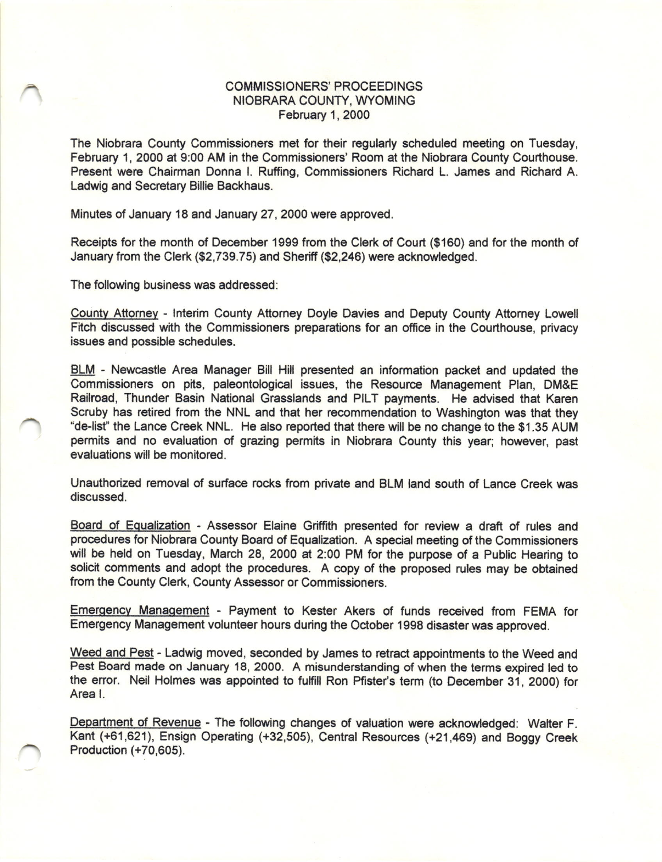## COMMISSIONERS' PROCEEDINGS NIOBRARA COUNTY, WYOMING February 1, 2000

The Niobrara Couniy Commissioners met for their regularly scheduled meeting on Tuesday, February 1, 2000 at 9:00 AM in the Commissioners' Room at the Niobrara County Courthouse. Present were Chairman Donna l. Ruffing, Commissioners Richard L. James and Richard A. Ladwig and Secretary Billie Backhaus.

Minutes of January 18 and January 27, 2000 were approved.

Receipts for the month of December 1999 from the Clerk of Court (\$160) and for the month of January from the Clerk (\$2,739.75) and Sheriff (\$2,246) were acknowledged.

The following business was addressed:

County Attorney - Interim County Attorney Doyle Davies and Deputy County Attorney Lowell Fitch discussed with the Commissioners preparations for an office in the Courthouse, privacy issues and possible schedules.

BLM - Newcastle Area Manager Bill Hill presented an information packet and updated the Commissioners on pits, paleontological issues, the Resource Management Plan, DM&E Railroad, Thunder Basin National Grasslands and PILT payments. He advised that Karen Scruby has retired from the NNL and that her recommendation to Washington was that they 'de-list" the Lance Creek NNL. He also reported that there will be no change to the \$1.35 AUM permits and no evalualion of grazing permits in Niobrara County this year; however, past evaluations will be monitored.

Unauthorized removal of surface rocks from private and BLM land south of Lance Creek was discussed,

Board of Equalization - Assessor Elaine Griffith presented for review a draft of rules and procedures for Niobrara County Board of Equalization. A special meeting of the Commissioners will be held on Tuesday, March 28, 2000 at 2:00 PM for the purpose of a Public Hearing to solicit comments and adopt the procedures. A copy of the proposed rules may be obtained from the County Clerk, County Assessor or Commissioners.

Emergency Management - Payment to Kester Akers of funds received from FEMA for Emergency Management volunteer hours during the October 1998 disaster was approved.

Weed and Pest - Ladwig moved, seconded by James to retract appointments to the Weed and Pest Board made on January 18, 2000. A misunderstanding of when the terms expired led to the error. Neil Holmes was appointed to fulfill Ron Pfister's term (to December 31, 2000) for Area l.

Department of Revenue - The following changes of valuation were acknowledged: Walter F. Kant (+61,621), Ensign Operating (+32,505), Centrat Resources (+21,469) and Boggy Creek Production (+70,605).